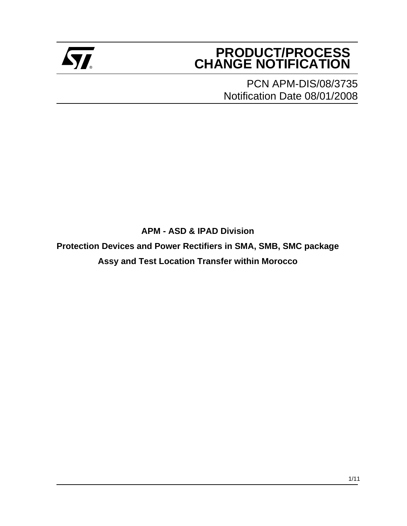

# **PRODUCT/PROCESS Example 2** CHANGE NOTIFICATION

PCN APM-DIS/08/3735 Notification Date 08/01/2008

**APM - ASD & IPAD Division**

**Protection Devices and Power Rectifiers in SMA, SMB, SMC package**

**Assy and Test Location Transfer within Morocco**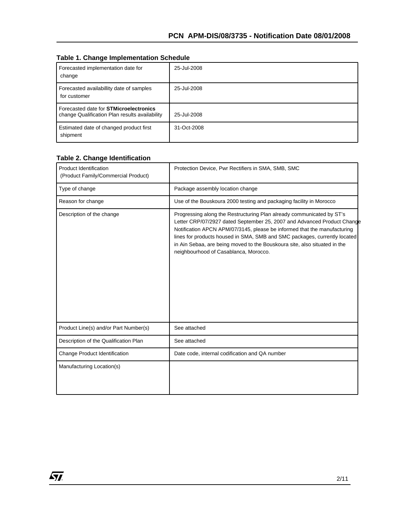|  |  | <b>Table 1. Change Implementation Schedule</b> |  |
|--|--|------------------------------------------------|--|
|--|--|------------------------------------------------|--|

| Forecasted implementation date for<br>change                                                    | 25-Jul-2008 |
|-------------------------------------------------------------------------------------------------|-------------|
| Forecasted availabillity date of samples<br>for customer                                        | 25-Jul-2008 |
| Forecasted date for <b>STMicroelectronics</b><br>change Qualification Plan results availability | 25-Jul-2008 |
| Estimated date of changed product first<br>shipment                                             | 31-Oct-2008 |

#### **Table 2. Change Identification**

| <b>Product Identification</b><br>(Product Family/Commercial Product) | Protection Device, Pwr Rectifiers in SMA, SMB, SMC                                                                                                                                                                                                                                                                                                                                                                              |
|----------------------------------------------------------------------|---------------------------------------------------------------------------------------------------------------------------------------------------------------------------------------------------------------------------------------------------------------------------------------------------------------------------------------------------------------------------------------------------------------------------------|
| Type of change                                                       | Package assembly location change                                                                                                                                                                                                                                                                                                                                                                                                |
| Reason for change                                                    | Use of the Bouskoura 2000 testing and packaging facility in Morocco                                                                                                                                                                                                                                                                                                                                                             |
| Description of the change                                            | Progressing along the Restructuring Plan already communicated by ST's<br>Letter CRP/07/2927 dated September 25, 2007 and Advanced Product Change<br>Notification APCN APM/07/3145, please be informed that the manufacturing<br>lines for products housed in SMA, SMB and SMC packages, currently located<br>in Ain Sebaa, are being moved to the Bouskoura site, also situated in the<br>neighbourhood of Casablanca, Morocco. |
| Product Line(s) and/or Part Number(s)                                | See attached                                                                                                                                                                                                                                                                                                                                                                                                                    |
| Description of the Qualification Plan                                | See attached                                                                                                                                                                                                                                                                                                                                                                                                                    |
| Change Product Identification                                        | Date code, internal codification and QA number                                                                                                                                                                                                                                                                                                                                                                                  |
| Manufacturing Location(s)                                            |                                                                                                                                                                                                                                                                                                                                                                                                                                 |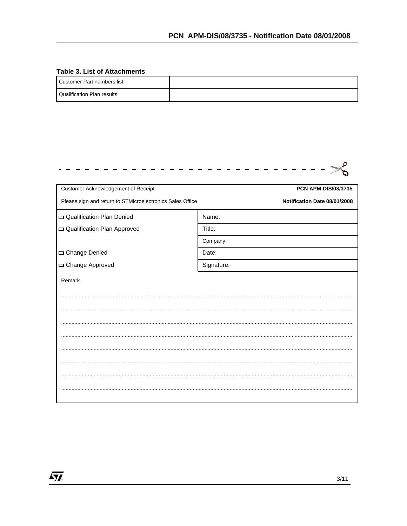#### **Table 3. List of Attachments**

| I Customer Part numbers list      |  |
|-----------------------------------|--|
| <b>Qualification Plan results</b> |  |

| Customer Acknowledgement of Receipt                       | <b>PCN APM-DIS/08/3735</b>   |
|-----------------------------------------------------------|------------------------------|
| Please sign and return to STMicroelectronics Sales Office | Notification Date 08/01/2008 |
| Qualification Plan Denied                                 | Name:                        |
| Qualification Plan Approved                               | Title:                       |
|                                                           | Company:                     |
| Change Denied                                             | Date:                        |
| Change Approved                                           | Signature:                   |
| Remark                                                    |                              |
|                                                           |                              |
|                                                           |                              |
|                                                           |                              |
|                                                           |                              |
|                                                           |                              |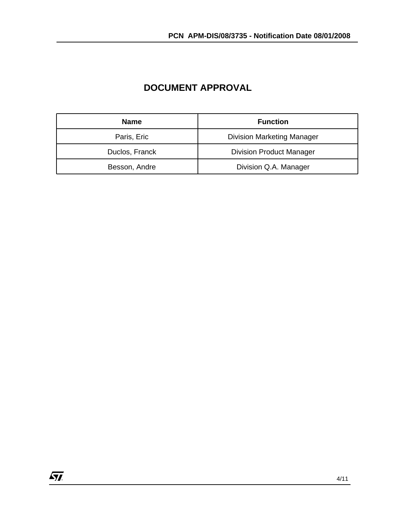| <b>Name</b>    | <b>Function</b>                   |  |
|----------------|-----------------------------------|--|
| Paris, Eric    | <b>Division Marketing Manager</b> |  |
| Duclos, Franck | <b>Division Product Manager</b>   |  |
| Besson, Andre  | Division Q.A. Manager             |  |

## **DOCUMENT APPROVAL**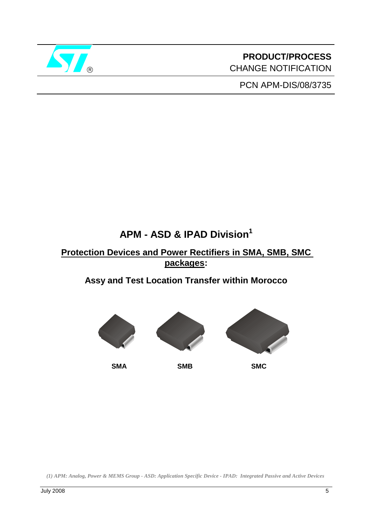

**PRODUCT/PROCESS** CHANGE NOTIFICATION

PCN APM-DIS/08/3735

# **APM - ASD & IPAD Division1**

# **Protection Devices and Power Rectifiers in SMA, SMB, SMC packages:**

# **Assy and Test Location Transfer within Morocco**



*(1) APM: Analog, Power & MEMS Group - ASD: Application Specific Device - IPAD: Integrated Passive and Active Devices*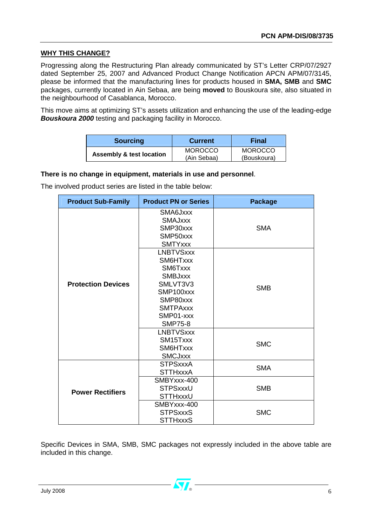#### **WHY THIS CHANGE?**

Progressing along the Restructuring Plan already communicated by ST's Letter CRP/07/2927 dated September 25, 2007 and Advanced Product Change Notification APCN APM/07/3145, please be informed that the manufacturing lines for products housed in **SMA, SMB** and **SMC** packages, currently located in Ain Sebaa, are being **moved** to Bouskoura site, also situated in the neighbourhood of Casablanca, Morocco.

This move aims at optimizing ST's assets utilization and enhancing the use of the leading-edge *Bouskoura 2000* testing and packaging facility in Morocco.

| <b>Sourcing</b>                     | <b>Current</b>                | Final                         |
|-------------------------------------|-------------------------------|-------------------------------|
| <b>Assembly &amp; test location</b> | <b>MOROCCO</b><br>(Ain Sebaa) | <b>MOROCCO</b><br>(Bouskoura) |

#### **There is no change in equipment, materials in use and personnel**.

The involved product series are listed in the table below:

| <b>Product Sub-Family</b> | <b>Product PN or Series</b>                                                                                                                      | <b>Package</b> |
|---------------------------|--------------------------------------------------------------------------------------------------------------------------------------------------|----------------|
|                           | SMA6Jxxx<br><b>SMAJXXX</b><br>SMP30xxx<br>SMP50xxx<br><b>SMTYxxx</b>                                                                             | <b>SMA</b>     |
| <b>Protection Devices</b> | <b>LNBTVSxxx</b><br>SM6HTxxx<br>SM6Txxx<br><b>SMBJxxx</b><br>SMLVT3V3<br>SMP100xxx<br>SMP80xxx<br><b>SMTPAxxx</b><br>SMP01-xxx<br><b>SMP75-8</b> | <b>SMB</b>     |
|                           | <b>LNBTVSxxx</b><br>SM15Txxx<br>SM6HTxxx<br><b>SMCJxxx</b>                                                                                       | <b>SMC</b>     |
|                           | <b>STPSxxxA</b><br><b>STTHxxxA</b>                                                                                                               | <b>SMA</b>     |
| <b>Power Rectifiers</b>   | SMBYxxx-400<br><b>STPSxxxU</b><br>STTHxxxU                                                                                                       | <b>SMB</b>     |
|                           | SMBYxxx-400<br><b>STPSxxxS</b><br><b>STTHxxxS</b>                                                                                                | <b>SMC</b>     |

Specific Devices in SMA, SMB, SMC packages not expressly included in the above table are included in this change.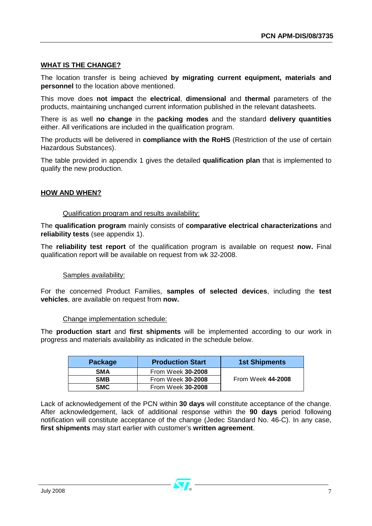#### **WHAT IS THE CHANGE?**

The location transfer is being achieved **by migrating current equipment, materials and personnel** to the location above mentioned.

This move does **not impact** the **electrical**, **dimensional** and **thermal** parameters of the products, maintaining unchanged current information published in the relevant datasheets.

There is as well **no change** in the **packing modes** and the standard **delivery quantities** either. All verifications are included in the qualification program.

The products will be delivered in **compliance with the RoHS** (Restriction of the use of certain Hazardous Substances).

The table provided in appendix 1 gives the detailed **qualification plan** that is implemented to qualify the new production.

#### **HOW AND WHEN?**

#### Qualification program and results availability:

The **qualification program** mainly consists of **comparative electrical characterizations** and **reliability tests** (see appendix 1).

The **reliability test report** of the qualification program is available on request **now.** Final qualification report will be available on request from wk 32-2008.

#### Samples availability:

For the concerned Product Families, **samples of selected devices**, including the **test vehicles**, are available on request from **now.** 

#### Change implementation schedule:

The **production start** and **first shipments** will be implemented according to our work in progress and materials availability as indicated in the schedule below.

| Package    | <b>Production Start</b> | <b>1st Shipments</b> |
|------------|-------------------------|----------------------|
| <b>SMA</b> | From Week 30-2008       |                      |
| <b>SMB</b> | From Week 30-2008       | From Week 44-2008    |
| <b>SMC</b> | From Week 30-2008       |                      |

Lack of acknowledgement of the PCN within **30 days** will constitute acceptance of the change. After acknowledgement, lack of additional response within the **90 days** period following notification will constitute acceptance of the change (Jedec Standard No. 46-C). In any case, **first shipments** may start earlier with customer's **written agreement**.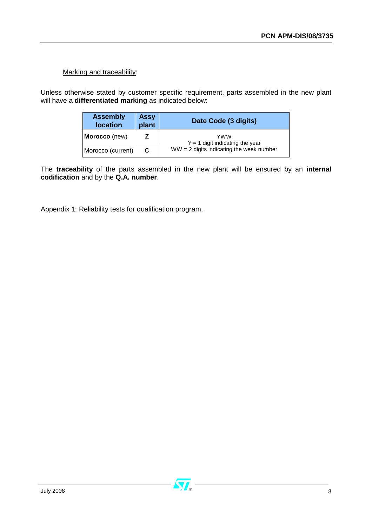### Marking and traceability:

Unless otherwise stated by customer specific requirement, parts assembled in the new plant will have a **differentiated marking** as indicated below:

| <b>Assembly</b><br><b>Assy</b><br>plant<br><b>location</b> |  | Date Code (3 digits)                       |  |  |
|------------------------------------------------------------|--|--------------------------------------------|--|--|
| Morocco (new)                                              |  | YWW<br>$Y = 1$ digit indicating the year   |  |  |
| Morocco (current)                                          |  | $WW = 2$ digits indicating the week number |  |  |

The **traceability** of the parts assembled in the new plant will be ensured by an **internal codification** and by the **Q.A. number**.

Appendix 1: Reliability tests for qualification program.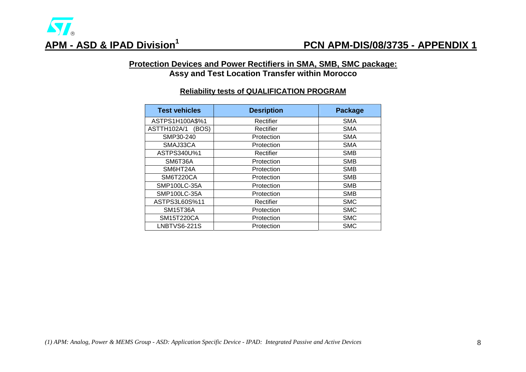### **Protection Devices and Power Rectifiers in SMA, SMB, SMC package: Assy and Test Location Transfer within Morocco**

### **Reliability tests of QUALIFICATION PROGRAM**

| <b>Test vehicles</b> | <b>Desription</b> | <b>Package</b> |
|----------------------|-------------------|----------------|
| ASTPS1H100A\$%1      | Rectifier         | <b>SMA</b>     |
| ASTTH102A/1<br>(BOS) | Rectifier         | <b>SMA</b>     |
| SMP30-240            | Protection        | <b>SMA</b>     |
| SMAJ33CA             | Protection        | <b>SMA</b>     |
| ASTPS340U%1          | Rectifier         | <b>SMB</b>     |
| SM6T36A              | Protection        | <b>SMB</b>     |
| SM6HT24A             | Protection        | <b>SMB</b>     |
| SM6T220CA            | Protection        | <b>SMB</b>     |
| SMP100LC-35A         | Protection        | <b>SMB</b>     |
| SMP100LC-35A         | Protection        | <b>SMB</b>     |
| ASTPS3L60S%11        | Rectifier         | <b>SMC</b>     |
| <b>SM15T36A</b>      | Protection        | <b>SMC</b>     |
| <b>SM15T220CA</b>    | Protection        | <b>SMC</b>     |
| <b>LNBTVS6-221S</b>  | Protection        | <b>SMC</b>     |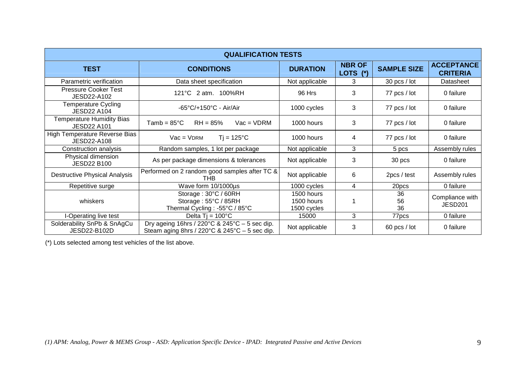| <b>QUALIFICATION TESTS</b>                             |                                                                                                                                        |                                         |                                                   |                    |                                        |  |  |
|--------------------------------------------------------|----------------------------------------------------------------------------------------------------------------------------------------|-----------------------------------------|---------------------------------------------------|--------------------|----------------------------------------|--|--|
| <b>TEST</b>                                            | <b>CONDITIONS</b>                                                                                                                      | <b>DURATION</b>                         | <b>NBR OF</b><br><b>LOTS</b><br>$^{\prime\prime}$ | <b>SAMPLE SIZE</b> | <b>ACCEPTANCE</b><br><b>CRITERIA</b>   |  |  |
| Parametric verification                                | Data sheet specification                                                                                                               | Not applicable                          | 3                                                 | 30 pcs / lot       | Datasheet                              |  |  |
| <b>Pressure Cooker Test</b><br>JESD22-A102             | 121°C 2 atm. 100%RH                                                                                                                    | 96 Hrs                                  | 3                                                 | 77 pcs / lot       | 0 failure                              |  |  |
| <b>Temperature Cycling</b><br><b>JESD22 A104</b>       | $-65^{\circ}$ C/+150 $^{\circ}$ C - Air/Air                                                                                            | 1000 cycles                             | 3                                                 | 77 pcs / lot       | 0 failure                              |  |  |
| <b>Temperature Humidity Bias</b><br><b>JESD22 A101</b> | $RH = 85%$<br>$Vac = VDRM$<br>Tamb = $85^{\circ}$ C                                                                                    | 1000 hours                              | 3                                                 | 77 pcs / lot       | 0 failure                              |  |  |
| <b>High Temperature Reverse Bias</b><br>JESD22-A108    | $T$ j = 125°C<br>$Vac = VDRM$                                                                                                          | 1000 hours                              | 4                                                 | 77 pcs / lot       | 0 failure                              |  |  |
| Construction analysis                                  | Random samples, 1 lot per package                                                                                                      | Not applicable                          | 3                                                 | 5 pcs              | Assembly rules                         |  |  |
| Physical dimension<br><b>JESD22 B100</b>               | As per package dimensions & tolerances                                                                                                 | Not applicable                          | 3                                                 | 30 pcs             | 0 failure                              |  |  |
| <b>Destructive Physical Analysis</b>                   | Performed on 2 random good samples after TC &<br>THB                                                                                   | Not applicable                          | 6                                                 | 2pcs / test        | Assembly rules                         |  |  |
| Repetitive surge                                       | Wave form 10/1000us                                                                                                                    | 1000 cycles                             | 4                                                 | 20pcs              | 0 failure                              |  |  |
| whiskers                                               | Storage: 30°C / 60RH<br>Storage: 55°C / 85RH<br>Thermal Cycling: -55°C / 85°C                                                          | 1500 hours<br>1500 hours<br>1500 cycles |                                                   | 36<br>56<br>36     | Compliance with<br>JESD <sub>201</sub> |  |  |
| I-Operating live test                                  | Delta $Ti = 100^{\circ}C$                                                                                                              | 15000                                   | 3                                                 | 77pcs              | 0 failure                              |  |  |
| Solderability SnPb & SnAgCu<br>JESD22-B102D            | Dry ageing 16hrs / 220 $\degree$ C & 245 $\degree$ C – 5 sec dip.<br>Steam aging 8hrs / $220^{\circ}$ C & $245^{\circ}$ C - 5 sec dip. | Not applicable                          | 3                                                 | 60 pcs / lot       | 0 failure                              |  |  |

(\*) Lots selected among test vehicles of the list above.